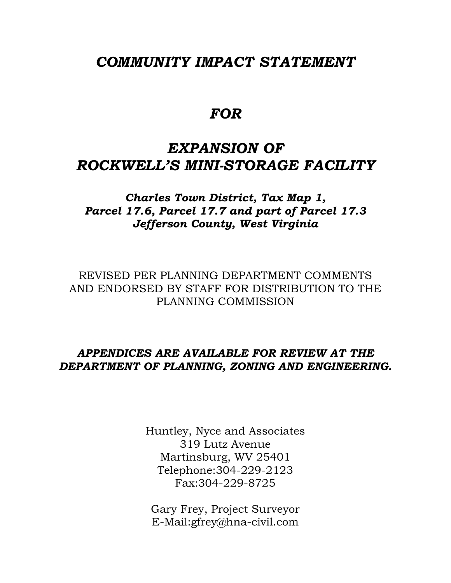## *COMMUNITY IMPACT STATEMENT*

# *FOR*

# *EXPANSION OF ROCKWELL'S MINI-STORAGE FACILITY*

*Charles Town District, Tax Map 1, Parcel 17.6, Parcel 17.7 and part of Parcel 17.3 Jefferson County, West Virginia* 

REVISED PER PLANNING DEPARTMENT COMMENTS AND ENDORSED BY STAFF FOR DISTRIBUTION TO THE PLANNING COMMISSION

## *APPENDICES ARE AVAILABLE FOR REVIEW AT THE DEPARTMENT OF PLANNING, ZONING AND ENGINEERING.*

Huntley, Nyce and Associates 319 Lutz Avenue Martinsburg, WV 25401 Telephone:304-229-2123 Fax:304-229-8725

Gary Frey, Project Surveyor E-Mail:gfrey@hna-civil.com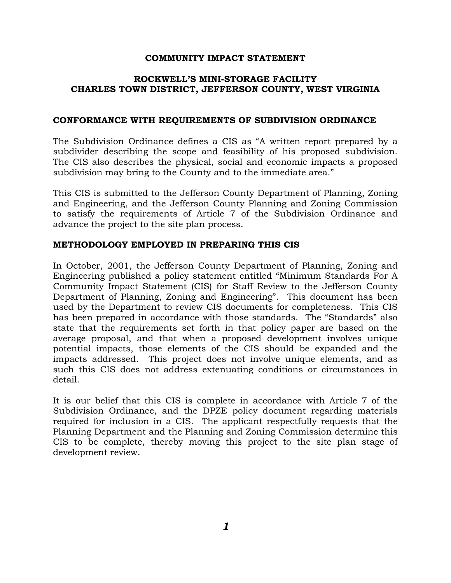#### **COMMUNITY IMPACT STATEMENT**

#### **ROCKWELL'S MINI-STORAGE FACILITY CHARLES TOWN DISTRICT, JEFFERSON COUNTY, WEST VIRGINIA**

#### **CONFORMANCE WITH REQUIREMENTS OF SUBDIVISION ORDINANCE**

The Subdivision Ordinance defines a CIS as "A written report prepared by a subdivider describing the scope and feasibility of his proposed subdivision. The CIS also describes the physical, social and economic impacts a proposed subdivision may bring to the County and to the immediate area."

This CIS is submitted to the Jefferson County Department of Planning, Zoning and Engineering, and the Jefferson County Planning and Zoning Commission to satisfy the requirements of Article 7 of the Subdivision Ordinance and advance the project to the site plan process.

#### **METHODOLOGY EMPLOYED IN PREPARING THIS CIS**

In October, 2001, the Jefferson County Department of Planning, Zoning and Engineering published a policy statement entitled "Minimum Standards For A Community Impact Statement (CIS) for Staff Review to the Jefferson County Department of Planning, Zoning and Engineering". This document has been used by the Department to review CIS documents for completeness. This CIS has been prepared in accordance with those standards. The "Standards" also state that the requirements set forth in that policy paper are based on the average proposal, and that when a proposed development involves unique potential impacts, those elements of the CIS should be expanded and the impacts addressed. This project does not involve unique elements, and as such this CIS does not address extenuating conditions or circumstances in detail.

It is our belief that this CIS is complete in accordance with Article 7 of the Subdivision Ordinance, and the DPZE policy document regarding materials required for inclusion in a CIS. The applicant respectfully requests that the Planning Department and the Planning and Zoning Commission determine this CIS to be complete, thereby moving this project to the site plan stage of development review.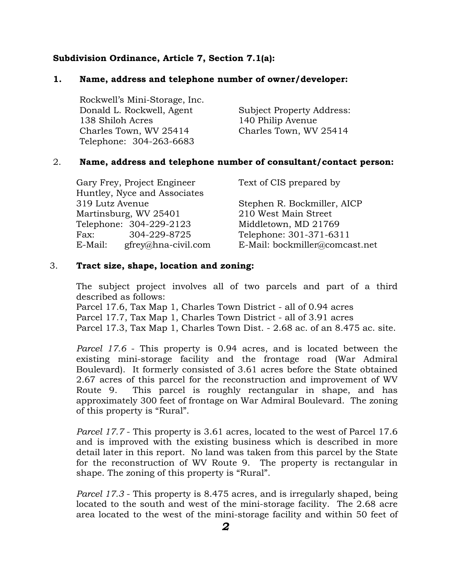#### **Subdivision Ordinance, Article 7, Section 7.1(a):**

#### **1. Name, address and telephone number of owner/developer:**

| Rockwell's Mini-Storage, Inc. |                           |
|-------------------------------|---------------------------|
| Donald L. Rockwell, Agent     | Subject Property Address: |
| 138 Shiloh Acres              | 140 Philip Avenue         |
| Charles Town, WV 25414        | Charles Town, WV 25414    |
| Telephone: 304-263-6683       |                           |

#### 2. **Name, address and telephone number of consultant/contact person:**

| Gary Frey, Project Engineer    | Text of CIS prepared by        |
|--------------------------------|--------------------------------|
| Huntley, Nyce and Associates   |                                |
| 319 Lutz Avenue                | Stephen R. Bockmiller, AICP    |
| Martinsburg, WV 25401          | 210 West Main Street           |
| Telephone: 304-229-2123        | Middletown, MD 21769           |
| 304-229-8725<br>Fax:           | Telephone: 301-371-6311        |
| gfrey@hna-civil.com<br>E-Mail: | E-Mail: bockmiller@comcast.net |

#### 3. **Tract size, shape, location and zoning:**

The subject project involves all of two parcels and part of a third described as follows:

 Parcel 17.6, Tax Map 1, Charles Town District - all of 0.94 acres Parcel 17.7, Tax Map 1, Charles Town District - all of 3.91 acres Parcel 17.3, Tax Map 1, Charles Town Dist. - 2.68 ac. of an 8.475 ac. site.

*Parcel 17.6* - This property is 0.94 acres, and is located between the existing mini-storage facility and the frontage road (War Admiral Boulevard). It formerly consisted of 3.61 acres before the State obtained 2.67 acres of this parcel for the reconstruction and improvement of WV Route 9. This parcel is roughly rectangular in shape, and has approximately 300 feet of frontage on War Admiral Boulevard. The zoning of this property is "Rural".

*Parcel 17.7* - This property is 3.61 acres, located to the west of Parcel 17.6 and is improved with the existing business which is described in more detail later in this report. No land was taken from this parcel by the State for the reconstruction of WV Route 9. The property is rectangular in shape. The zoning of this property is "Rural".

*Parcel 17.3* - This property is 8.475 acres, and is irregularly shaped, being located to the south and west of the mini-storage facility. The 2.68 acre area located to the west of the mini-storage facility and within 50 feet of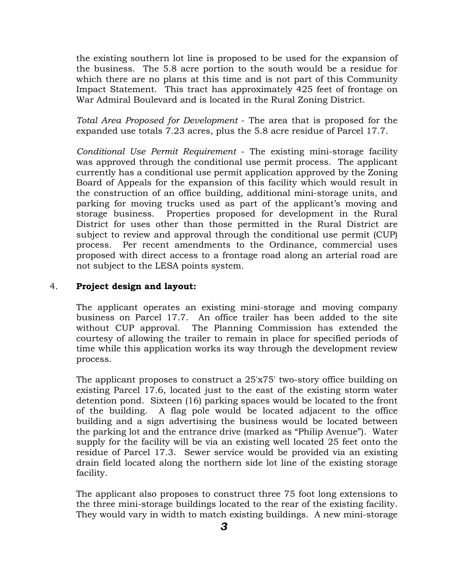the existing southern lot line is proposed to be used for the expansion of the business. The 5.8 acre portion to the south would be a residue for which there are no plans at this time and is not part of this Community Impact Statement. This tract has approximately 425 feet of frontage on War Admiral Boulevard and is located in the Rural Zoning District.

*Total Area Proposed for Development* - The area that is proposed for the expanded use totals 7.23 acres, plus the 5.8 acre residue of Parcel 17.7.

*Conditional Use Permit Requirement* - The existing mini-storage facility was approved through the conditional use permit process. The applicant currently has a conditional use permit application approved by the Zoning Board of Appeals for the expansion of this facility which would result in the construction of an office building, additional mini-storage units, and parking for moving trucks used as part of the applicant's moving and storage business. Properties proposed for development in the Rural District for uses other than those permitted in the Rural District are subject to review and approval through the conditional use permit (CUP) process. Per recent amendments to the Ordinance, commercial uses proposed with direct access to a frontage road along an arterial road are not subject to the LESA points system.

#### 4. **Project design and layout:**

The applicant operates an existing mini-storage and moving company business on Parcel 17.7. An office trailer has been added to the site without CUP approval. The Planning Commission has extended the courtesy of allowing the trailer to remain in place for specified periods of time while this application works its way through the development review process.

The applicant proposes to construct a 25'x75' two-story office building on existing Parcel 17.6, located just to the east of the existing storm water detention pond. Sixteen (16) parking spaces would be located to the front of the building. A flag pole would be located adjacent to the office building and a sign advertising the business would be located between the parking lot and the entrance drive (marked as "Philip Avenue"). Water supply for the facility will be via an existing well located 25 feet onto the residue of Parcel 17.3. Sewer service would be provided via an existing drain field located along the northern side lot line of the existing storage facility.

The applicant also proposes to construct three 75 foot long extensions to the three mini-storage buildings located to the rear of the existing facility. They would vary in width to match existing buildings. A new mini-storage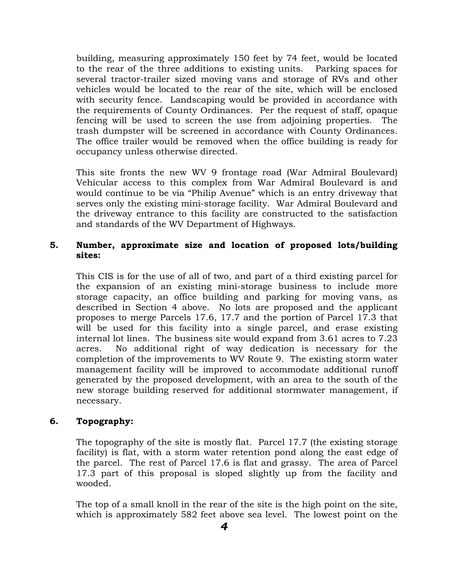building, measuring approximately 150 feet by 74 feet, would be located to the rear of the three additions to existing units. Parking spaces for several tractor-trailer sized moving vans and storage of RVs and other vehicles would be located to the rear of the site, which will be enclosed with security fence. Landscaping would be provided in accordance with the requirements of County Ordinances. Per the request of staff, opaque fencing will be used to screen the use from adjoining properties. The trash dumpster will be screened in accordance with County Ordinances. The office trailer would be removed when the office building is ready for occupancy unless otherwise directed.

This site fronts the new WV 9 frontage road (War Admiral Boulevard) Vehicular access to this complex from War Admiral Boulevard is and would continue to be via "Philip Avenue" which is an entry driveway that serves only the existing mini-storage facility. War Admiral Boulevard and the driveway entrance to this facility are constructed to the satisfaction and standards of the WV Department of Highways.

## **5. Number, approximate size and location of proposed lots/building sites:**

This CIS is for the use of all of two, and part of a third existing parcel for the expansion of an existing mini-storage business to include more storage capacity, an office building and parking for moving vans, as described in Section 4 above. No lots are proposed and the applicant proposes to merge Parcels 17.6, 17.7 and the portion of Parcel 17.3 that will be used for this facility into a single parcel, and erase existing internal lot lines. The business site would expand from 3.61 acres to 7.23 acres. No additional right of way dedication is necessary for the completion of the improvements to WV Route 9. The existing storm water management facility will be improved to accommodate additional runoff generated by the proposed development, with an area to the south of the new storage building reserved for additional stormwater management, if necessary.

## **6. Topography:**

The topography of the site is mostly flat. Parcel 17.7 (the existing storage facility) is flat, with a storm water retention pond along the east edge of the parcel. The rest of Parcel 17.6 is flat and grassy. The area of Parcel 17.3 part of this proposal is sloped slightly up from the facility and wooded.

The top of a small knoll in the rear of the site is the high point on the site, which is approximately 582 feet above sea level. The lowest point on the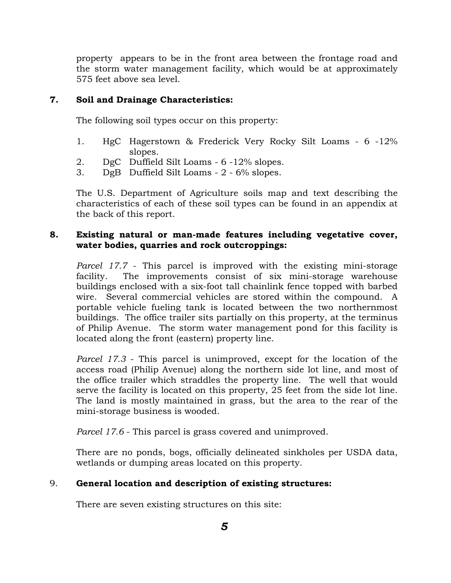property appears to be in the front area between the frontage road and the storm water management facility, which would be at approximately 575 feet above sea level.

## **7. Soil and Drainage Characteristics:**

The following soil types occur on this property:

- 1. HgC Hagerstown & Frederick Very Rocky Silt Loams 6 -12% slopes.
- 2. DgC Duffield Silt Loams 6 -12% slopes.
- 3. DgB Duffield Silt Loams 2 6% slopes.

The U.S. Department of Agriculture soils map and text describing the characteristics of each of these soil types can be found in an appendix at the back of this report.

## **8. Existing natural or man-made features including vegetative cover, water bodies, quarries and rock outcroppings:**

*Parcel 17.7* - This parcel is improved with the existing mini-storage facility. The improvements consist of six mini-storage warehouse buildings enclosed with a six-foot tall chainlink fence topped with barbed wire. Several commercial vehicles are stored within the compound. A portable vehicle fueling tank is located between the two northernmost buildings. The office trailer sits partially on this property, at the terminus of Philip Avenue. The storm water management pond for this facility is located along the front (eastern) property line.

*Parcel 17.3* - This parcel is unimproved, except for the location of the access road (Philip Avenue) along the northern side lot line, and most of the office trailer which straddles the property line. The well that would serve the facility is located on this property, 25 feet from the side lot line. The land is mostly maintained in grass, but the area to the rear of the mini-storage business is wooded.

*Parcel 17.6* - This parcel is grass covered and unimproved.

There are no ponds, bogs, officially delineated sinkholes per USDA data, wetlands or dumping areas located on this property.

## 9. **General location and description of existing structures:**

There are seven existing structures on this site: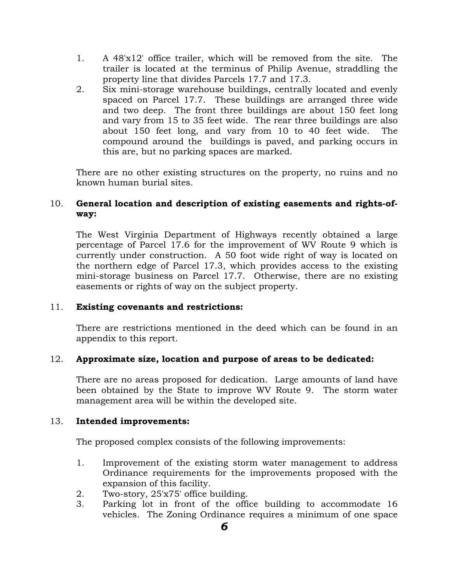- 1. A 48'x12' office trailer, which will be removed from the site. The trailer is located at the terminus of Philip Avenue, straddling the property line that divides Parcels 17.7 and 17.3.
- 2. Six mini-storage warehouse buildings, centrally located and evenly spaced on Parcel 17.7. These buildings are arranged three wide and two deep. The front three buildings are about 150 feet long and vary from 15 to 35 feet wide. The rear three buildings are also about 150 feet long, and vary from 10 to 40 feet wide. The compound around the buildings is paved, and parking occurs in this are, but no parking spaces are marked.

There are no other existing structures on the property, no ruins and no known human burial sites.

## 10. **General location and description of existing easements and rights-ofway:**

The West Virginia Department of Highways recently obtained a large percentage of Parcel 17.6 for the improvement of WV Route 9 which is currently under construction. A 50 foot wide right of way is located on the northern edge of Parcel 17.3, which provides access to the existing mini-storage business on Parcel 17.7. Otherwise, there are no existing easements or rights of way on the subject property.

## 11. **Existing covenants and restrictions:**

There are restrictions mentioned in the deed which can be found in an appendix to this report.

## 12. **Approximate size, location and purpose of areas to be dedicated:**

There are no areas proposed for dedication. Large amounts of land have been obtained by the State to improve WV Route 9. The storm water management area will be within the developed site.

## 13. **Intended improvements:**

The proposed complex consists of the following improvements:

- 1. Improvement of the existing storm water management to address Ordinance requirements for the improvements proposed with the expansion of this facility.
- 2. Two-story, 25'x75' office building.
- 3. Parking lot in front of the office building to accommodate 16 vehicles. The Zoning Ordinance requires a minimum of one space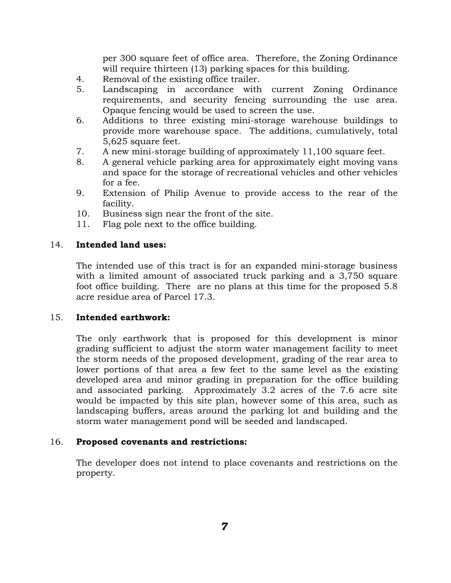per 300 square feet of office area. Therefore, the Zoning Ordinance will require thirteen (13) parking spaces for this building.

- 4. Removal of the existing office trailer.
- 5. Landscaping in accordance with current Zoning Ordinance requirements, and security fencing surrounding the use area. Opaque fencing would be used to screen the use.
- 6. Additions to three existing mini-storage warehouse buildings to provide more warehouse space. The additions, cumulatively, total 5,625 square feet.
- 7. A new mini-storage building of approximately 11,100 square feet.
- 8. A general vehicle parking area for approximately eight moving vans and space for the storage of recreational vehicles and other vehicles for a fee.
- 9. Extension of Philip Avenue to provide access to the rear of the facility.
- 10. Business sign near the front of the site.
- 11. Flag pole next to the office building.

#### 14. **Intended land uses:**

The intended use of this tract is for an expanded mini-storage business with a limited amount of associated truck parking and a 3,750 square foot office building. There are no plans at this time for the proposed 5.8 acre residue area of Parcel 17.3.

#### 15. **Intended earthwork:**

The only earthwork that is proposed for this development is minor grading sufficient to adjust the storm water management facility to meet the storm needs of the proposed development, grading of the rear area to lower portions of that area a few feet to the same level as the existing developed area and minor grading in preparation for the office building and associated parking. Approximately 3.2 acres of the 7.6 acre site would be impacted by this site plan, however some of this area, such as landscaping buffers, areas around the parking lot and building and the storm water management pond will be seeded and landscaped.

#### 16. **Proposed covenants and restrictions:**

The developer does not intend to place covenants and restrictions on the property.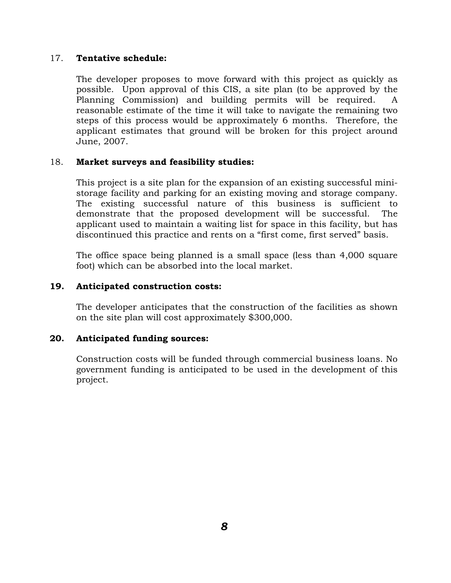## 17. **Tentative schedule:**

The developer proposes to move forward with this project as quickly as possible. Upon approval of this CIS, a site plan (to be approved by the Planning Commission) and building permits will be required. A reasonable estimate of the time it will take to navigate the remaining two steps of this process would be approximately 6 months. Therefore, the applicant estimates that ground will be broken for this project around June, 2007.

## 18. **Market surveys and feasibility studies:**

This project is a site plan for the expansion of an existing successful ministorage facility and parking for an existing moving and storage company. The existing successful nature of this business is sufficient to demonstrate that the proposed development will be successful. The applicant used to maintain a waiting list for space in this facility, but has discontinued this practice and rents on a "first come, first served" basis.

The office space being planned is a small space (less than 4,000 square foot) which can be absorbed into the local market.

#### **19. Anticipated construction costs:**

The developer anticipates that the construction of the facilities as shown on the site plan will cost approximately \$300,000.

## **20. Anticipated funding sources:**

Construction costs will be funded through commercial business loans. No government funding is anticipated to be used in the development of this project.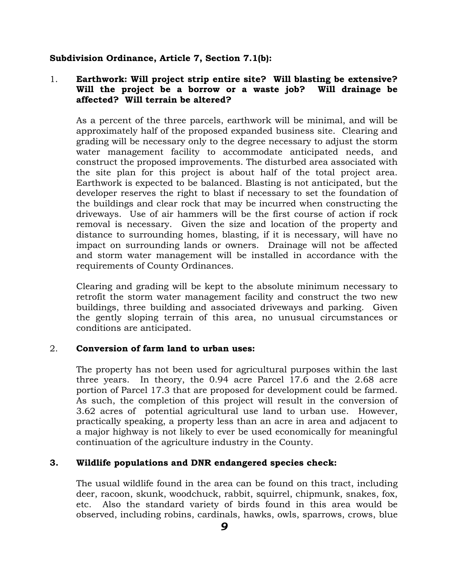## **Subdivision Ordinance, Article 7, Section 7.1(b):**

## 1. **Earthwork: Will project strip entire site? Will blasting be extensive? Will the project be a borrow or a waste job? Will drainage be affected? Will terrain be altered?**

As a percent of the three parcels, earthwork will be minimal, and will be approximately half of the proposed expanded business site. Clearing and grading will be necessary only to the degree necessary to adjust the storm water management facility to accommodate anticipated needs, and construct the proposed improvements. The disturbed area associated with the site plan for this project is about half of the total project area. Earthwork is expected to be balanced. Blasting is not anticipated, but the developer reserves the right to blast if necessary to set the foundation of the buildings and clear rock that may be incurred when constructing the driveways. Use of air hammers will be the first course of action if rock removal is necessary. Given the size and location of the property and distance to surrounding homes, blasting, if it is necessary, will have no impact on surrounding lands or owners. Drainage will not be affected and storm water management will be installed in accordance with the requirements of County Ordinances.

Clearing and grading will be kept to the absolute minimum necessary to retrofit the storm water management facility and construct the two new buildings, three building and associated driveways and parking. Given the gently sloping terrain of this area, no unusual circumstances or conditions are anticipated.

#### 2. **Conversion of farm land to urban uses:**

The property has not been used for agricultural purposes within the last three years. In theory, the 0.94 acre Parcel 17.6 and the 2.68 acre portion of Parcel 17.3 that are proposed for development could be farmed. As such, the completion of this project will result in the conversion of 3.62 acres of potential agricultural use land to urban use. However, practically speaking, a property less than an acre in area and adjacent to a major highway is not likely to ever be used economically for meaningful continuation of the agriculture industry in the County.

#### **3. Wildlife populations and DNR endangered species check:**

The usual wildlife found in the area can be found on this tract, including deer, racoon, skunk, woodchuck, rabbit, squirrel, chipmunk, snakes, fox, etc. Also the standard variety of birds found in this area would be observed, including robins, cardinals, hawks, owls, sparrows, crows, blue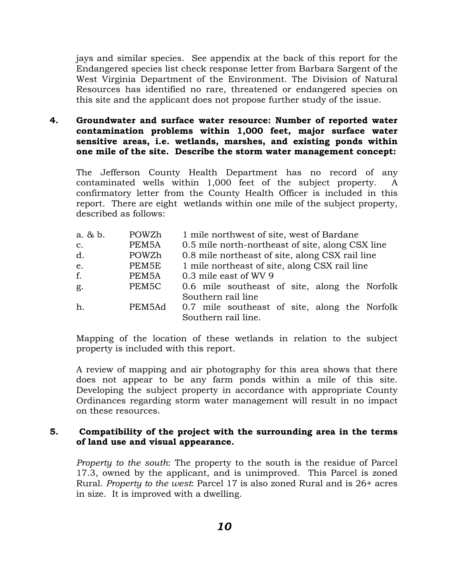jays and similar species. See appendix at the back of this report for the Endangered species list check response letter from Barbara Sargent of the West Virginia Department of the Environment. The Division of Natural Resources has identified no rare, threatened or endangered species on this site and the applicant does not propose further study of the issue.

## **4. Groundwater and surface water resource: Number of reported water contamination problems within 1,000 feet, major surface water sensitive areas, i.e. wetlands, marshes, and existing ponds within one mile of the site. Describe the storm water management concept:**

The Jefferson County Health Department has no record of any contaminated wells within 1,000 feet of the subject property. A confirmatory letter from the County Health Officer is included in this report. There are eight wetlands within one mile of the subject property, described as follows:

| $a. \& b.$     | POWZh  | 1 mile northwest of site, west of Bardane        |
|----------------|--------|--------------------------------------------------|
| $\mathbf{C}$ . | PEM5A  | 0.5 mile north-northeast of site, along CSX line |
| d.             | POWZh  | 0.8 mile northeast of site, along CSX rail line  |
| e.             | PEM5E  | 1 mile northeast of site, along CSX rail line    |
| f.             | PEM5A  | 0.3 mile east of WV 9                            |
| g.             | PEM5C  | 0.6 mile southeast of site, along the Norfolk    |
|                |        | Southern rail line                               |
| h.             | PEM5Ad | 0.7 mile southeast of site, along the Norfolk    |
|                |        | Southern rail line.                              |

Mapping of the location of these wetlands in relation to the subject property is included with this report.

A review of mapping and air photography for this area shows that there does not appear to be any farm ponds within a mile of this site. Developing the subject property in accordance with appropriate County Ordinances regarding storm water management will result in no impact on these resources.

## **5. Compatibility of the project with the surrounding area in the terms of land use and visual appearance.**

*Property to the south*: The property to the south is the residue of Parcel 17.3, owned by the applicant, and is unimproved. This Parcel is zoned Rural. *Property to the west*: Parcel 17 is also zoned Rural and is 26+ acres in size. It is improved with a dwelling.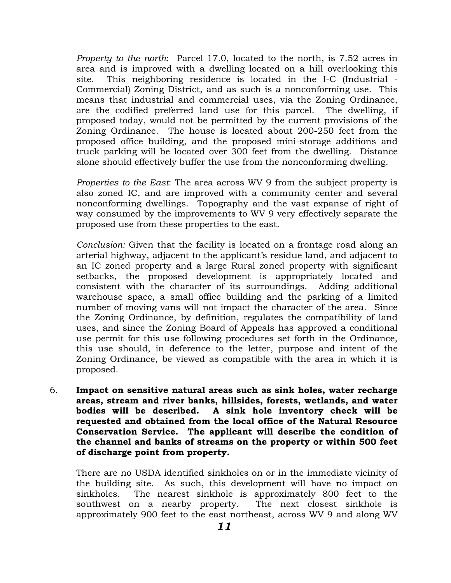*Property to the north*: Parcel 17.0, located to the north, is 7.52 acres in area and is improved with a dwelling located on a hill overlooking this site. This neighboring residence is located in the I-C (Industrial - Commercial) Zoning District, and as such is a nonconforming use. This means that industrial and commercial uses, via the Zoning Ordinance, are the codified preferred land use for this parcel. The dwelling, if proposed today, would not be permitted by the current provisions of the Zoning Ordinance. The house is located about 200-250 feet from the proposed office building, and the proposed mini-storage additions and truck parking will be located over 300 feet from the dwelling. Distance alone should effectively buffer the use from the nonconforming dwelling.

*Properties to the East*: The area across WV 9 from the subject property is also zoned IC, and are improved with a community center and several nonconforming dwellings. Topography and the vast expanse of right of way consumed by the improvements to WV 9 very effectively separate the proposed use from these properties to the east.

*Conclusion:* Given that the facility is located on a frontage road along an arterial highway, adjacent to the applicant's residue land, and adjacent to an IC zoned property and a large Rural zoned property with significant setbacks, the proposed development is appropriately located and consistent with the character of its surroundings. Adding additional warehouse space, a small office building and the parking of a limited number of moving vans will not impact the character of the area. Since the Zoning Ordinance, by definition, regulates the compatibility of land uses, and since the Zoning Board of Appeals has approved a conditional use permit for this use following procedures set forth in the Ordinance, this use should, in deference to the letter, purpose and intent of the Zoning Ordinance, be viewed as compatible with the area in which it is proposed.

6. **Impact on sensitive natural areas such as sink holes, water recharge areas, stream and river banks, hillsides, forests, wetlands, and water bodies will be described. A sink hole inventory check will be requested and obtained from the local office of the Natural Resource Conservation Service. The applicant will describe the condition of the channel and banks of streams on the property or within 500 feet of discharge point from property.**

There are no USDA identified sinkholes on or in the immediate vicinity of the building site. As such, this development will have no impact on sinkholes. The nearest sinkhole is approximately 800 feet to the southwest on a nearby property. The next closest sinkhole is approximately 900 feet to the east northeast, across WV 9 and along WV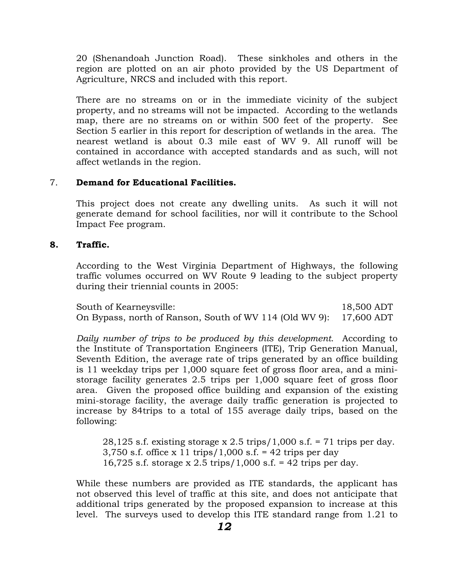20 (Shenandoah Junction Road). These sinkholes and others in the region are plotted on an air photo provided by the US Department of Agriculture, NRCS and included with this report.

There are no streams on or in the immediate vicinity of the subject property, and no streams will not be impacted. According to the wetlands map, there are no streams on or within 500 feet of the property. See Section 5 earlier in this report for description of wetlands in the area. The nearest wetland is about 0.3 mile east of WV 9. All runoff will be contained in accordance with accepted standards and as such, will not affect wetlands in the region.

## 7. **Demand for Educational Facilities.**

This project does not create any dwelling units. As such it will not generate demand for school facilities, nor will it contribute to the School Impact Fee program.

#### **8. Traffic.**

According to the West Virginia Department of Highways, the following traffic volumes occurred on WV Route 9 leading to the subject property during their triennial counts in 2005:

| South of Kearneysville:                                            | 18,500 ADT |
|--------------------------------------------------------------------|------------|
| On Bypass, north of Ranson, South of WV 114 (Old WV 9): 17,600 ADT |            |

*Daily number of trips to be produced by this development*. According to the Institute of Transportation Engineers (ITE), Trip Generation Manual, Seventh Edition, the average rate of trips generated by an office building is 11 weekday trips per 1,000 square feet of gross floor area, and a ministorage facility generates 2.5 trips per 1,000 square feet of gross floor area. Given the proposed office building and expansion of the existing mini-storage facility, the average daily traffic generation is projected to increase by 84trips to a total of 155 average daily trips, based on the following:

28,125 s.f. existing storage x 2.5 trips/1,000 s.f.  $= 71$  trips per day. 3,750 s.f. office x 11 trips/1,000 s.f. = 42 trips per day 16,725 s.f. storage x 2.5 trips/1,000 s.f. = 42 trips per day.

While these numbers are provided as ITE standards, the applicant has not observed this level of traffic at this site, and does not anticipate that additional trips generated by the proposed expansion to increase at this level. The surveys used to develop this ITE standard range from 1.21 to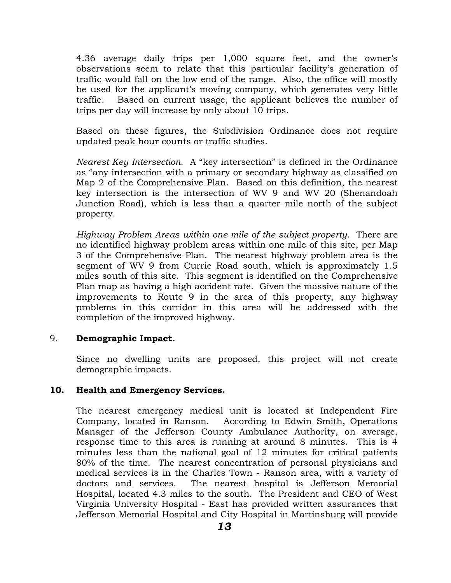4.36 average daily trips per 1,000 square feet, and the owner's observations seem to relate that this particular facility's generation of traffic would fall on the low end of the range. Also, the office will mostly be used for the applicant's moving company, which generates very little traffic. Based on current usage, the applicant believes the number of trips per day will increase by only about 10 trips.

Based on these figures, the Subdivision Ordinance does not require updated peak hour counts or traffic studies.

*Nearest Key Intersection*. A "key intersection" is defined in the Ordinance as "any intersection with a primary or secondary highway as classified on Map 2 of the Comprehensive Plan. Based on this definition, the nearest key intersection is the intersection of WV 9 and WV 20 (Shenandoah Junction Road), which is less than a quarter mile north of the subject property.

*Highway Problem Areas within one mile of the subject property*. There are no identified highway problem areas within one mile of this site, per Map 3 of the Comprehensive Plan. The nearest highway problem area is the segment of WV 9 from Currie Road south, which is approximately 1.5 miles south of this site. This segment is identified on the Comprehensive Plan map as having a high accident rate. Given the massive nature of the improvements to Route 9 in the area of this property, any highway problems in this corridor in this area will be addressed with the completion of the improved highway.

## 9. **Demographic Impact.**

Since no dwelling units are proposed, this project will not create demographic impacts.

#### **10. Health and Emergency Services.**

The nearest emergency medical unit is located at Independent Fire Company, located in Ranson. According to Edwin Smith, Operations Manager of the Jefferson County Ambulance Authority, on average, response time to this area is running at around 8 minutes. This is 4 minutes less than the national goal of 12 minutes for critical patients 80% of the time. The nearest concentration of personal physicians and medical services is in the Charles Town - Ranson area, with a variety of doctors and services. The nearest hospital is Jefferson Memorial Hospital, located 4.3 miles to the south. The President and CEO of West Virginia University Hospital - East has provided written assurances that Jefferson Memorial Hospital and City Hospital in Martinsburg will provide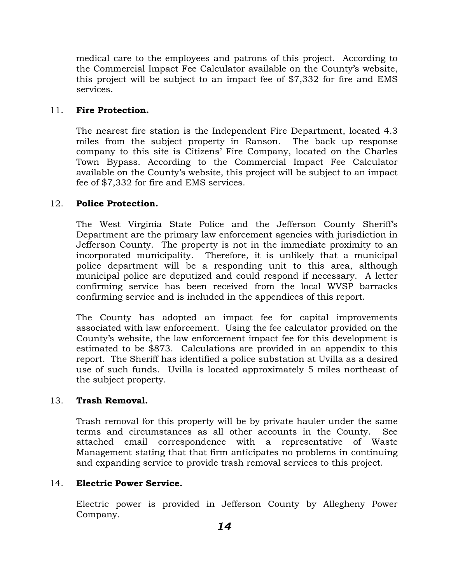medical care to the employees and patrons of this project. According to the Commercial Impact Fee Calculator available on the County's website, this project will be subject to an impact fee of \$7,332 for fire and EMS services.

## 11. **Fire Protection.**

The nearest fire station is the Independent Fire Department, located 4.3 miles from the subject property in Ranson. The back up response company to this site is Citizens' Fire Company, located on the Charles Town Bypass. According to the Commercial Impact Fee Calculator available on the County's website, this project will be subject to an impact fee of \$7,332 for fire and EMS services.

## 12. **Police Protection.**

The West Virginia State Police and the Jefferson County Sheriff's Department are the primary law enforcement agencies with jurisdiction in Jefferson County. The property is not in the immediate proximity to an incorporated municipality. Therefore, it is unlikely that a municipal police department will be a responding unit to this area, although municipal police are deputized and could respond if necessary. A letter confirming service has been received from the local WVSP barracks confirming service and is included in the appendices of this report.

The County has adopted an impact fee for capital improvements associated with law enforcement. Using the fee calculator provided on the County's website, the law enforcement impact fee for this development is estimated to be \$873. Calculations are provided in an appendix to this report. The Sheriff has identified a police substation at Uvilla as a desired use of such funds. Uvilla is located approximately 5 miles northeast of the subject property.

## 13. **Trash Removal.**

Trash removal for this property will be by private hauler under the same terms and circumstances as all other accounts in the County. See attached email correspondence with a representative of Waste Management stating that that firm anticipates no problems in continuing and expanding service to provide trash removal services to this project.

## 14. **Electric Power Service.**

Electric power is provided in Jefferson County by Allegheny Power Company.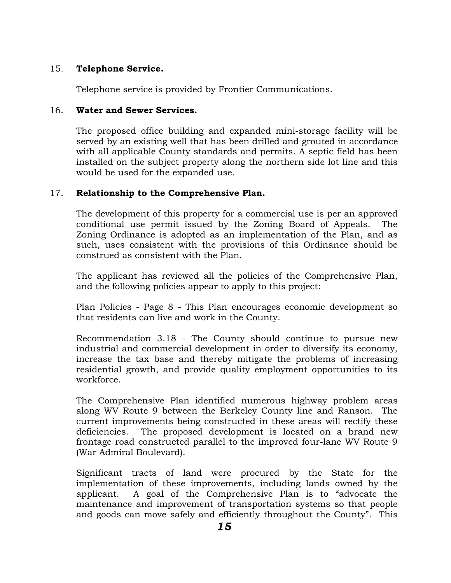## 15. **Telephone Service.**

Telephone service is provided by Frontier Communications.

## 16. **Water and Sewer Services.**

The proposed office building and expanded mini-storage facility will be served by an existing well that has been drilled and grouted in accordance with all applicable County standards and permits. A septic field has been installed on the subject property along the northern side lot line and this would be used for the expanded use.

## 17. **Relationship to the Comprehensive Plan.**

The development of this property for a commercial use is per an approved conditional use permit issued by the Zoning Board of Appeals. The Zoning Ordinance is adopted as an implementation of the Plan, and as such, uses consistent with the provisions of this Ordinance should be construed as consistent with the Plan.

The applicant has reviewed all the policies of the Comprehensive Plan, and the following policies appear to apply to this project:

Plan Policies - Page 8 - This Plan encourages economic development so that residents can live and work in the County.

Recommendation 3.18 - The County should continue to pursue new industrial and commercial development in order to diversify its economy, increase the tax base and thereby mitigate the problems of increasing residential growth, and provide quality employment opportunities to its workforce.

The Comprehensive Plan identified numerous highway problem areas along WV Route 9 between the Berkeley County line and Ranson. The current improvements being constructed in these areas will rectify these deficiencies. The proposed development is located on a brand new frontage road constructed parallel to the improved four-lane WV Route 9 (War Admiral Boulevard).

Significant tracts of land were procured by the State for the implementation of these improvements, including lands owned by the applicant. A goal of the Comprehensive Plan is to "advocate the maintenance and improvement of transportation systems so that people and goods can move safely and efficiently throughout the County". This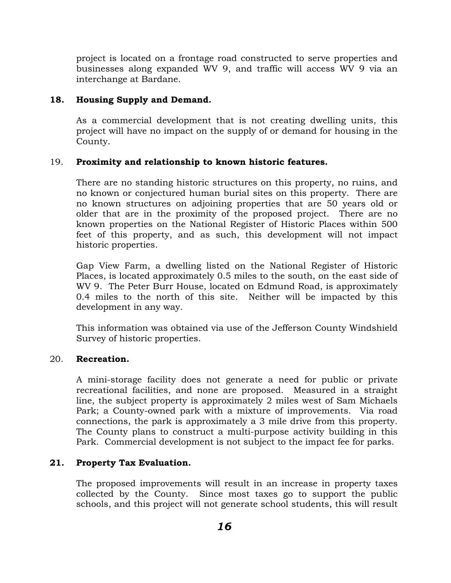project is located on a frontage road constructed to serve properties and businesses along expanded WV 9, and traffic will access WV 9 via an interchange at Bardane.

## **18. Housing Supply and Demand.**

As a commercial development that is not creating dwelling units, this project will have no impact on the supply of or demand for housing in the County.

## 19. **Proximity and relationship to known historic features.**

There are no standing historic structures on this property, no ruins, and no known or conjectured human burial sites on this property. There are no known structures on adjoining properties that are 50 years old or older that are in the proximity of the proposed project. There are no known properties on the National Register of Historic Places within 500 feet of this property, and as such, this development will not impact historic properties.

Gap View Farm, a dwelling listed on the National Register of Historic Places, is located approximately 0.5 miles to the south, on the east side of WV 9. The Peter Burr House, located on Edmund Road, is approximately 0.4 miles to the north of this site. Neither will be impacted by this development in any way.

This information was obtained via use of the Jefferson County Windshield Survey of historic properties.

## 20. **Recreation.**

A mini-storage facility does not generate a need for public or private recreational facilities, and none are proposed. Measured in a straight line, the subject property is approximately 2 miles west of Sam Michaels Park; a County-owned park with a mixture of improvements. Via road connections, the park is approximately a 3 mile drive from this property. The County plans to construct a multi-purpose activity building in this Park. Commercial development is not subject to the impact fee for parks.

## **21. Property Tax Evaluation.**

The proposed improvements will result in an increase in property taxes collected by the County. Since most taxes go to support the public schools, and this project will not generate school students, this will result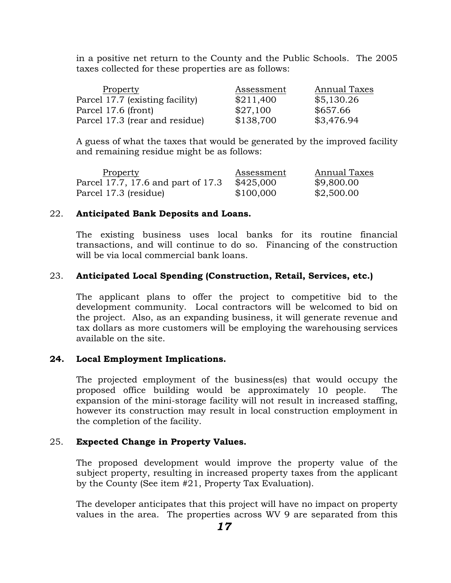in a positive net return to the County and the Public Schools. The 2005 taxes collected for these properties are as follows:

| Property                        | Assessment | Annual Taxes |
|---------------------------------|------------|--------------|
| Parcel 17.7 (existing facility) | \$211,400  | \$5,130.26   |
| Parcel 17.6 (front)             | \$27,100   | \$657.66     |
| Parcel 17.3 (rear and residue)  | \$138,700  | \$3,476.94   |

A guess of what the taxes that would be generated by the improved facility and remaining residue might be as follows:

| Property                           | Assessment | Annual Taxes |
|------------------------------------|------------|--------------|
| Parcel 17.7, 17.6 and part of 17.3 | \$425,000  | \$9,800.00   |
| Parcel 17.3 (residue)              | \$100,000  | \$2,500.00   |

#### 22. **Anticipated Bank Deposits and Loans.**

The existing business uses local banks for its routine financial transactions, and will continue to do so. Financing of the construction will be via local commercial bank loans.

## 23. **Anticipated Local Spending (Construction, Retail, Services, etc.)**

The applicant plans to offer the project to competitive bid to the development community. Local contractors will be welcomed to bid on the project. Also, as an expanding business, it will generate revenue and tax dollars as more customers will be employing the warehousing services available on the site.

#### **24. Local Employment Implications.**

The projected employment of the business(es) that would occupy the proposed office building would be approximately 10 people. The expansion of the mini-storage facility will not result in increased staffing, however its construction may result in local construction employment in the completion of the facility.

#### 25. **Expected Change in Property Values.**

The proposed development would improve the property value of the subject property, resulting in increased property taxes from the applicant by the County (See item #21, Property Tax Evaluation).

The developer anticipates that this project will have no impact on property values in the area. The properties across WV 9 are separated from this